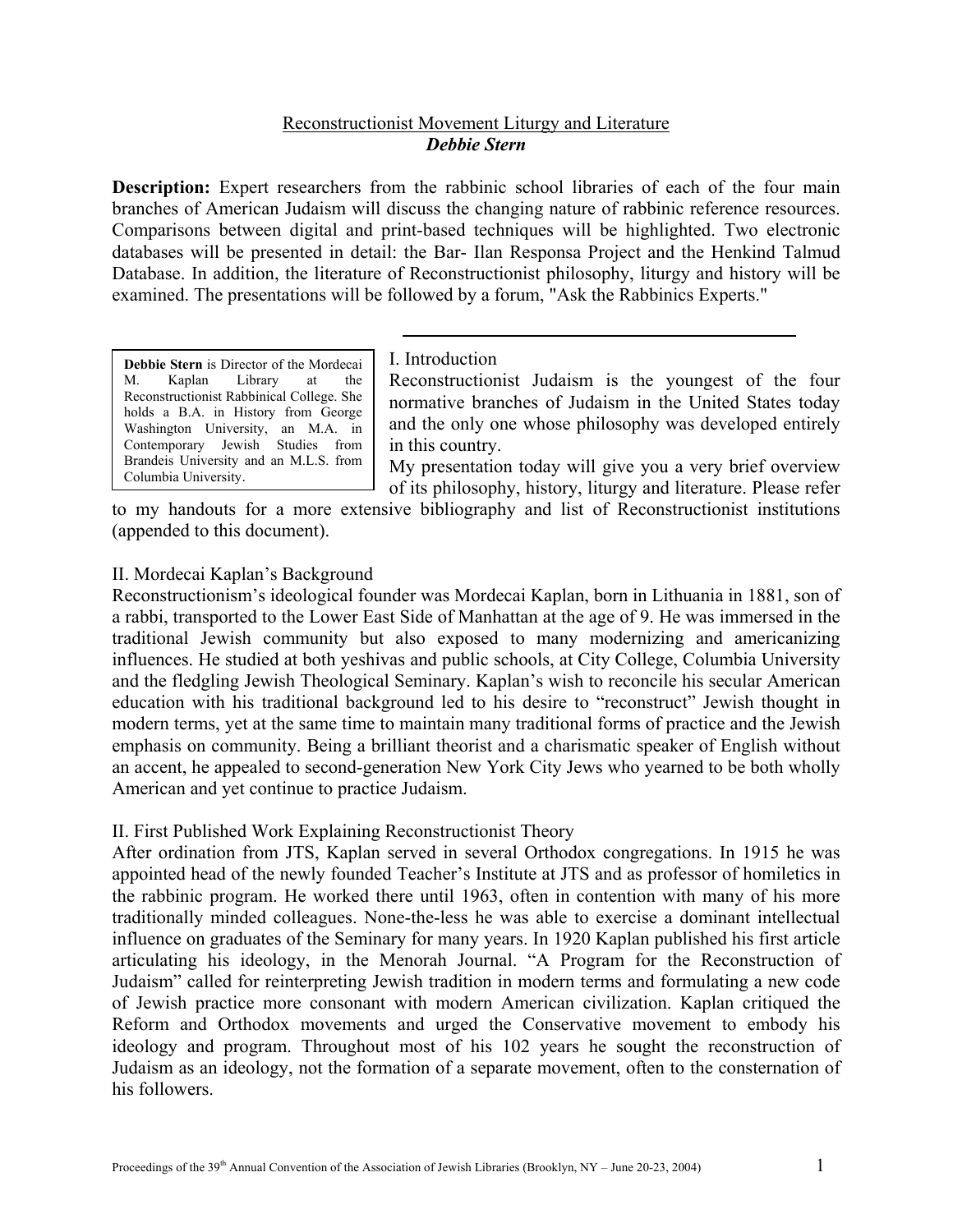# Reconstructionist Movement Liturgy and Literature *Debbie Stern*

**Description:** Expert researchers from the rabbinic school libraries of each of the four main branches of American Judaism will discuss the changing nature of rabbinic reference resources. Comparisons between digital and print-based techniques will be highlighted. Two electronic databases will be presented in detail: the Bar- Ilan Responsa Project and the Henkind Talmud Database. In addition, the literature of Reconstructionist philosophy, liturgy and history will be examined. The presentations will be followed by a forum, "Ask the Rabbinics Experts."

**Debbie Stern** is Director of the Mordecai | I. Introduction M. Kaplan Library at the Reconstructionist Rabbinical College. She holds a B.A. in History from George Washington University, an M.A. in Contemporary Jewish Studies from Brandeis University and an M.L.S. from Columbia University.

Reconstructionist Judaism is the youngest of the four normative branches of Judaism in the United States today and the only one whose philosophy was developed entirely in this country.

My presentation today will give you a very brief overview of its philosophy, history, liturgy and literature. Please refer

to my handouts for a more extensive bibliography and list of Reconstructionist institutions (appended to this document).

# II. Mordecai Kaplan's Background

Reconstructionism's ideological founder was Mordecai Kaplan, born in Lithuania in 1881, son of a rabbi, transported to the Lower East Side of Manhattan at the age of 9. He was immersed in the traditional Jewish community but also exposed to many modernizing and americanizing influences. He studied at both yeshivas and public schools, at City College, Columbia University and the fledgling Jewish Theological Seminary. Kaplan's wish to reconcile his secular American education with his traditional background led to his desire to "reconstruct" Jewish thought in modern terms, yet at the same time to maintain many traditional forms of practice and the Jewish emphasis on community. Being a brilliant theorist and a charismatic speaker of English without an accent, he appealed to second-generation New York City Jews who yearned to be both wholly American and yet continue to practice Judaism.

# II. First Published Work Explaining Reconstructionist Theory

After ordination from JTS, Kaplan served in several Orthodox congregations. In 1915 he was appointed head of the newly founded Teacher's Institute at JTS and as professor of homiletics in the rabbinic program. He worked there until 1963, often in contention with many of his more traditionally minded colleagues. None-the-less he was able to exercise a dominant intellectual influence on graduates of the Seminary for many years. In 1920 Kaplan published his first article articulating his ideology, in the Menorah Journal. "A Program for the Reconstruction of Judaism" called for reinterpreting Jewish tradition in modern terms and formulating a new code of Jewish practice more consonant with modern American civilization. Kaplan critiqued the Reform and Orthodox movements and urged the Conservative movement to embody his ideology and program. Throughout most of his 102 years he sought the reconstruction of Judaism as an ideology, not the formation of a separate movement, often to the consternation of his followers.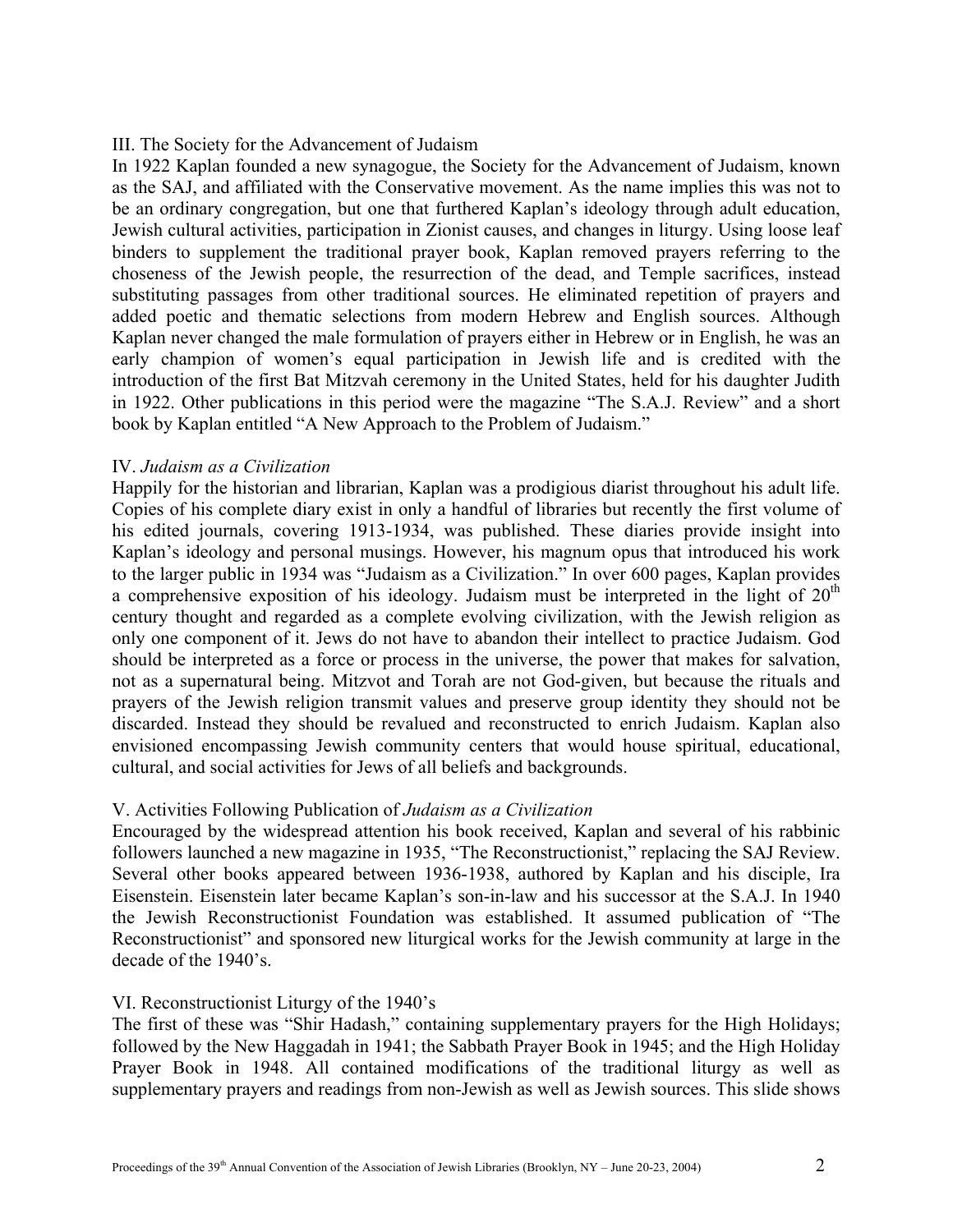### III. The Society for the Advancement of Judaism

In 1922 Kaplan founded a new synagogue, the Society for the Advancement of Judaism, known as the SAJ, and affiliated with the Conservative movement. As the name implies this was not to be an ordinary congregation, but one that furthered Kaplan's ideology through adult education, Jewish cultural activities, participation in Zionist causes, and changes in liturgy. Using loose leaf binders to supplement the traditional prayer book, Kaplan removed prayers referring to the choseness of the Jewish people, the resurrection of the dead, and Temple sacrifices, instead substituting passages from other traditional sources. He eliminated repetition of prayers and added poetic and thematic selections from modern Hebrew and English sources. Although Kaplan never changed the male formulation of prayers either in Hebrew or in English, he was an early champion of women's equal participation in Jewish life and is credited with the introduction of the first Bat Mitzvah ceremony in the United States, held for his daughter Judith in 1922. Other publications in this period were the magazine "The S.A.J. Review" and a short book by Kaplan entitled "A New Approach to the Problem of Judaism."

### IV. *Judaism as a Civilization*

Happily for the historian and librarian, Kaplan was a prodigious diarist throughout his adult life. Copies of his complete diary exist in only a handful of libraries but recently the first volume of his edited journals, covering 1913-1934, was published. These diaries provide insight into Kaplan's ideology and personal musings. However, his magnum opus that introduced his work to the larger public in 1934 was "Judaism as a Civilization." In over 600 pages, Kaplan provides a comprehensive exposition of his ideology. Judaism must be interpreted in the light of  $20<sup>th</sup>$ century thought and regarded as a complete evolving civilization, with the Jewish religion as only one component of it. Jews do not have to abandon their intellect to practice Judaism. God should be interpreted as a force or process in the universe, the power that makes for salvation, not as a supernatural being. Mitzvot and Torah are not God-given, but because the rituals and prayers of the Jewish religion transmit values and preserve group identity they should not be discarded. Instead they should be revalued and reconstructed to enrich Judaism. Kaplan also envisioned encompassing Jewish community centers that would house spiritual, educational, cultural, and social activities for Jews of all beliefs and backgrounds.

# V. Activities Following Publication of *Judaism as a Civilization*

Encouraged by the widespread attention his book received, Kaplan and several of his rabbinic followers launched a new magazine in 1935, "The Reconstructionist," replacing the SAJ Review. Several other books appeared between 1936-1938, authored by Kaplan and his disciple, Ira Eisenstein. Eisenstein later became Kaplan's son-in-law and his successor at the S.A.J. In 1940 the Jewish Reconstructionist Foundation was established. It assumed publication of "The Reconstructionist" and sponsored new liturgical works for the Jewish community at large in the decade of the 1940's.

# VI. Reconstructionist Liturgy of the 1940's

The first of these was "Shir Hadash," containing supplementary prayers for the High Holidays; followed by the New Haggadah in 1941; the Sabbath Prayer Book in 1945; and the High Holiday Prayer Book in 1948. All contained modifications of the traditional liturgy as well as supplementary prayers and readings from non-Jewish as well as Jewish sources. This slide shows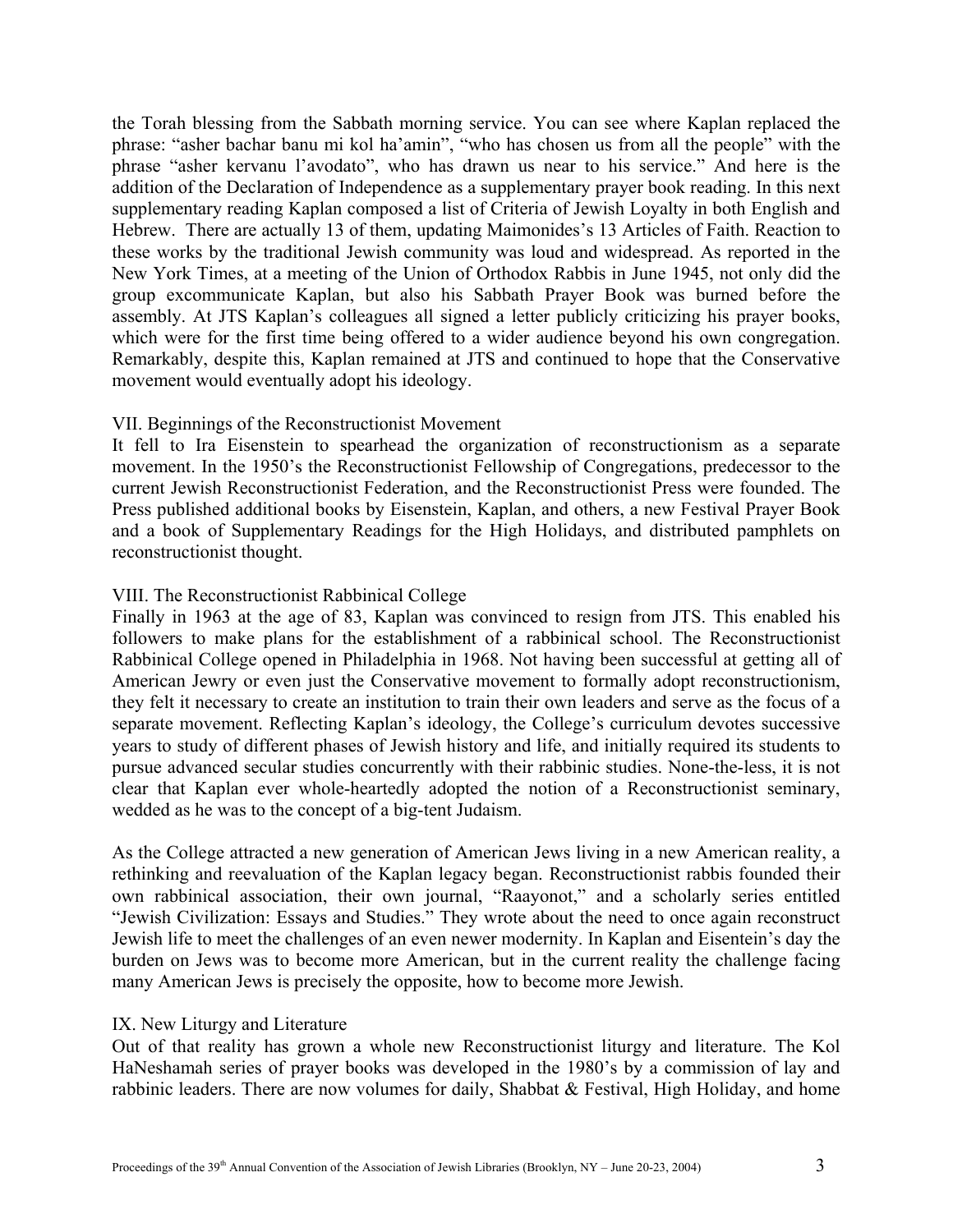the Torah blessing from the Sabbath morning service. You can see where Kaplan replaced the phrase: "asher bachar banu mi kol ha'amin", "who has chosen us from all the people" with the phrase "asher kervanu l'avodato", who has drawn us near to his service." And here is the addition of the Declaration of Independence as a supplementary prayer book reading. In this next supplementary reading Kaplan composed a list of Criteria of Jewish Loyalty in both English and Hebrew. There are actually 13 of them, updating Maimonides's 13 Articles of Faith. Reaction to these works by the traditional Jewish community was loud and widespread. As reported in the New York Times, at a meeting of the Union of Orthodox Rabbis in June 1945, not only did the group excommunicate Kaplan, but also his Sabbath Prayer Book was burned before the assembly. At JTS Kaplan's colleagues all signed a letter publicly criticizing his prayer books, which were for the first time being offered to a wider audience beyond his own congregation. Remarkably, despite this, Kaplan remained at JTS and continued to hope that the Conservative movement would eventually adopt his ideology.

# VII. Beginnings of the Reconstructionist Movement

It fell to Ira Eisenstein to spearhead the organization of reconstructionism as a separate movement. In the 1950's the Reconstructionist Fellowship of Congregations, predecessor to the current Jewish Reconstructionist Federation, and the Reconstructionist Press were founded. The Press published additional books by Eisenstein, Kaplan, and others, a new Festival Prayer Book and a book of Supplementary Readings for the High Holidays, and distributed pamphlets on reconstructionist thought.

### VIII. The Reconstructionist Rabbinical College

Finally in 1963 at the age of 83, Kaplan was convinced to resign from JTS. This enabled his followers to make plans for the establishment of a rabbinical school. The Reconstructionist Rabbinical College opened in Philadelphia in 1968. Not having been successful at getting all of American Jewry or even just the Conservative movement to formally adopt reconstructionism, they felt it necessary to create an institution to train their own leaders and serve as the focus of a separate movement. Reflecting Kaplan's ideology, the College's curriculum devotes successive years to study of different phases of Jewish history and life, and initially required its students to pursue advanced secular studies concurrently with their rabbinic studies. None-the-less, it is not clear that Kaplan ever whole-heartedly adopted the notion of a Reconstructionist seminary, wedded as he was to the concept of a big-tent Judaism.

As the College attracted a new generation of American Jews living in a new American reality, a rethinking and reevaluation of the Kaplan legacy began. Reconstructionist rabbis founded their own rabbinical association, their own journal, "Raayonot," and a scholarly series entitled "Jewish Civilization: Essays and Studies." They wrote about the need to once again reconstruct Jewish life to meet the challenges of an even newer modernity. In Kaplan and Eisentein's day the burden on Jews was to become more American, but in the current reality the challenge facing many American Jews is precisely the opposite, how to become more Jewish.

#### IX. New Liturgy and Literature

Out of that reality has grown a whole new Reconstructionist liturgy and literature. The Kol HaNeshamah series of prayer books was developed in the 1980's by a commission of lay and rabbinic leaders. There are now volumes for daily, Shabbat & Festival, High Holiday, and home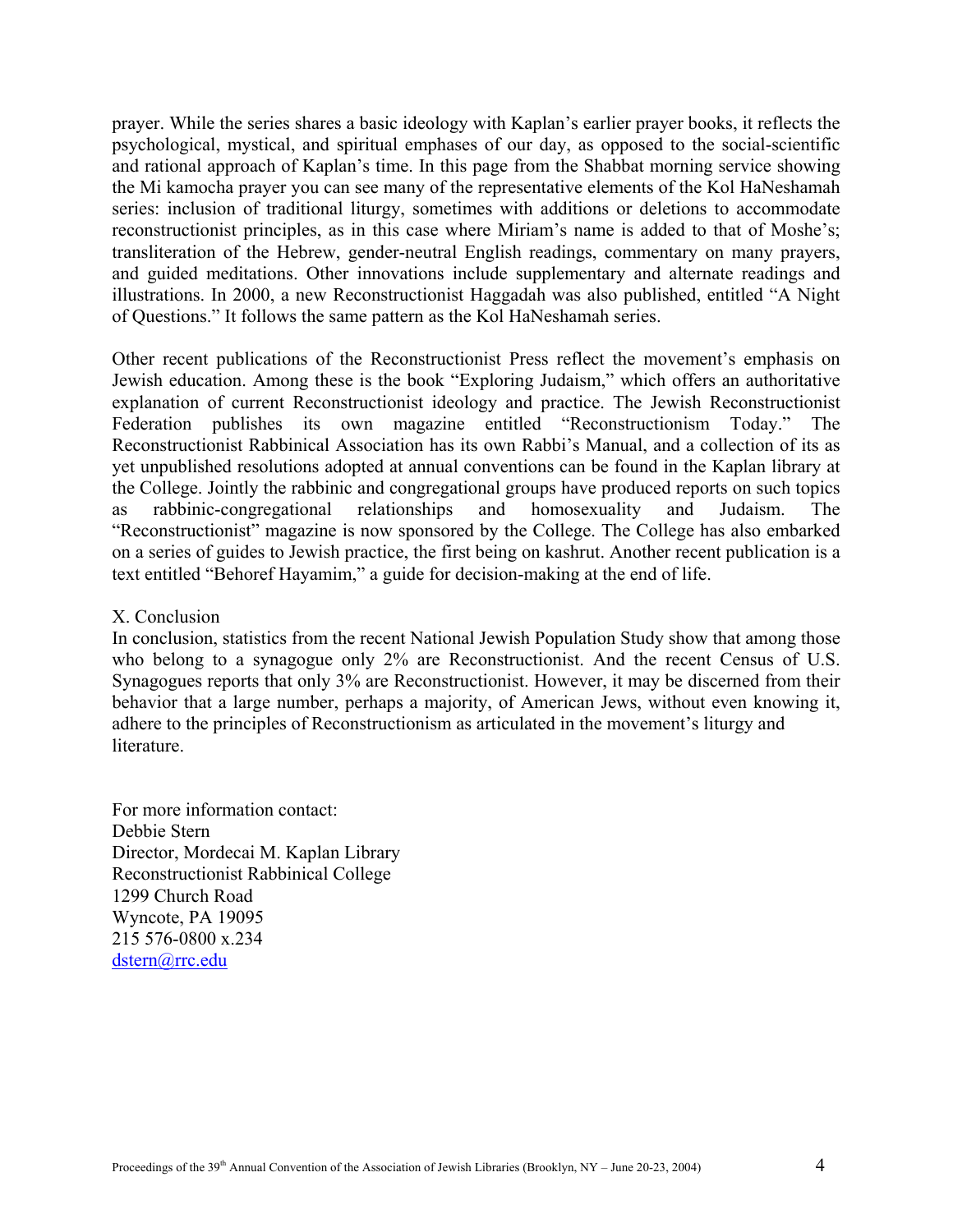prayer. While the series shares a basic ideology with Kaplan's earlier prayer books, it reflects the psychological, mystical, and spiritual emphases of our day, as opposed to the social-scientific and rational approach of Kaplan's time. In this page from the Shabbat morning service showing the Mi kamocha prayer you can see many of the representative elements of the Kol HaNeshamah series: inclusion of traditional liturgy, sometimes with additions or deletions to accommodate reconstructionist principles, as in this case where Miriam's name is added to that of Moshe's; transliteration of the Hebrew, gender-neutral English readings, commentary on many prayers, and guided meditations. Other innovations include supplementary and alternate readings and illustrations. In 2000, a new Reconstructionist Haggadah was also published, entitled "A Night of Questions." It follows the same pattern as the Kol HaNeshamah series.

Other recent publications of the Reconstructionist Press reflect the movement's emphasis on Jewish education. Among these is the book "Exploring Judaism," which offers an authoritative explanation of current Reconstructionist ideology and practice. The Jewish Reconstructionist Federation publishes its own magazine entitled "Reconstructionism Today." The Reconstructionist Rabbinical Association has its own Rabbi's Manual, and a collection of its as yet unpublished resolutions adopted at annual conventions can be found in the Kaplan library at the College. Jointly the rabbinic and congregational groups have produced reports on such topics as rabbinic-congregational relationships and homosexuality and Judaism. The "Reconstructionist" magazine is now sponsored by the College. The College has also embarked on a series of guides to Jewish practice, the first being on kashrut. Another recent publication is a text entitled "Behoref Hayamim," a guide for decision-making at the end of life.

#### X. Conclusion

In conclusion, statistics from the recent National Jewish Population Study show that among those who belong to a synagogue only 2% are Reconstructionist. And the recent Census of U.S. Synagogues reports that only 3% are Reconstructionist. However, it may be discerned from their behavior that a large number, perhaps a majority, of American Jews, without even knowing it, adhere to the principles of Reconstructionism as articulated in the movement's liturgy and literature.

For more information contact: Debbie Stern Director, Mordecai M. Kaplan Library Reconstructionist Rabbinical College 1299 Church Road Wyncote, PA 19095 215 576-0800 x.234 [dstern@rrc.edu](mailto:dstern@rrc.edu)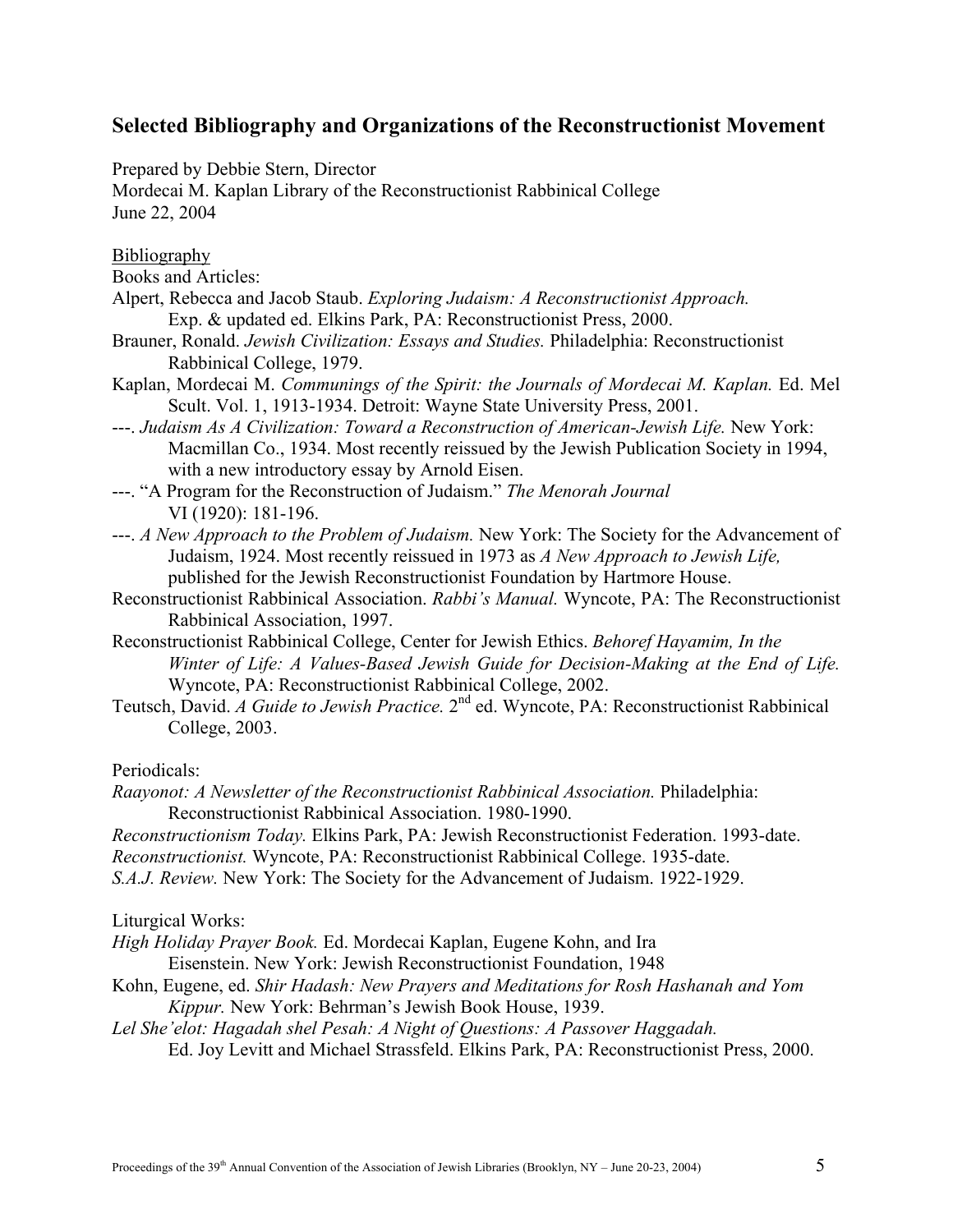# **Selected Bibliography and Organizations of the Reconstructionist Movement**

Prepared by Debbie Stern, Director

Mordecai M. Kaplan Library of the Reconstructionist Rabbinical College June 22, 2004

Bibliography

- Books and Articles:
- Alpert, Rebecca and Jacob Staub. *Exploring Judaism: A Reconstructionist Approach.*  Exp. & updated ed. Elkins Park, PA: Reconstructionist Press, 2000.
- Brauner, Ronald. *Jewish Civilization: Essays and Studies.* Philadelphia: Reconstructionist Rabbinical College, 1979.
- Kaplan, Mordecai M. *Communings of the Spirit: the Journals of Mordecai M. Kaplan.* Ed. Mel Scult. Vol. 1, 1913-1934. Detroit: Wayne State University Press, 2001.
- ---. *Judaism As A Civilization: Toward a Reconstruction of American-Jewish Life.* New York: Macmillan Co., 1934. Most recently reissued by the Jewish Publication Society in 1994, with a new introductory essay by Arnold Eisen.
- ---. "A Program for the Reconstruction of Judaism." *The Menorah Journal*  VI (1920): 181-196.
- ---. *A New Approach to the Problem of Judaism.* New York: The Society for the Advancement of Judaism, 1924. Most recently reissued in 1973 as *A New Approach to Jewish Life,* published for the Jewish Reconstructionist Foundation by Hartmore House.
- Reconstructionist Rabbinical Association. *Rabbi's Manual.* Wyncote, PA: The Reconstructionist Rabbinical Association, 1997.
- Reconstructionist Rabbinical College, Center for Jewish Ethics. *Behoref Hayamim, In the Winter of Life: A Values-Based Jewish Guide for Decision-Making at the End of Life.*  Wyncote, PA: Reconstructionist Rabbinical College, 2002.
- Teutsch, David. *A Guide to Jewish Practice.* 2nd ed. Wyncote, PA: Reconstructionist Rabbinical College, 2003.

Periodicals:

*Raayonot: A Newsletter of the Reconstructionist Rabbinical Association.* Philadelphia: Reconstructionist Rabbinical Association. 1980-1990.

- *Reconstructionism Today.* Elkins Park, PA: Jewish Reconstructionist Federation. 1993-date.
- *Reconstructionist.* Wyncote, PA: Reconstructionist Rabbinical College. 1935-date.
- *S.A.J. Review.* New York: The Society for the Advancement of Judaism. 1922-1929.

Liturgical Works:

- *High Holiday Prayer Book.* Ed. Mordecai Kaplan, Eugene Kohn, and Ira
	- Eisenstein. New York: Jewish Reconstructionist Foundation, 1948
- Kohn, Eugene, ed. *Shir Hadash: New Prayers and Meditations for Rosh Hashanah and Yom Kippur.* New York: Behrman's Jewish Book House, 1939.
- *Lel She'elot: Hagadah shel Pesah: A Night of Questions: A Passover Haggadah.*  Ed. Joy Levitt and Michael Strassfeld. Elkins Park, PA: Reconstructionist Press, 2000.